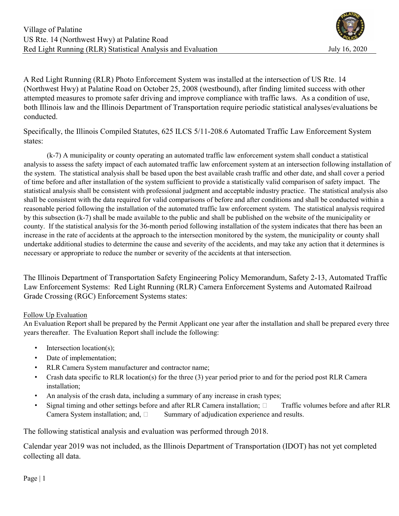A Red Light Running (RLR) Photo Enforcement System was installed at the intersection of US Rte. 14 (Northwest Hwy) at Palatine Road on October 25, 2008 (westbound), after finding limited success with other attempted measures to promote safer driving and improve compliance with traffic laws. As a condition of use, both Illinois law and the Illinois Department of Transportation require periodic statistical analyses/evaluations be conducted.

Specifically, the Illinois Compiled Statutes, 625 ILCS 5/11-208.6 Automated Traffic Law Enforcement System states:

 (k-7) A municipality or county operating an automated traffic law enforcement system shall conduct a statistical analysis to assess the safety impact of each automated traffic law enforcement system at an intersection following installation of the system. The statistical analysis shall be based upon the best available crash traffic and other date, and shall cover a period of time before and after installation of the system sufficient to provide a statistically valid comparison of safety impact. The statistical analysis shall be consistent with professional judgment and acceptable industry practice. The statistical analysis also shall be consistent with the data required for valid comparisons of before and after conditions and shall be conducted within a reasonable period following the installation of the automated traffic law enforcement system. The statistical analysis required by this subsection (k-7) shall be made available to the public and shall be published on the website of the municipality or county. If the statistical analysis for the 36-month period following installation of the system indicates that there has been an increase in the rate of accidents at the approach to the intersection monitored by the system, the municipality or county shall undertake additional studies to determine the cause and severity of the accidents, and may take any action that it determines is necessary or appropriate to reduce the number or severity of the accidents at that intersection.

The Illinois Department of Transportation Safety Engineering Policy Memorandum, Safety 2-13, Automated Traffic Law Enforcement Systems: Red Light Running (RLR) Camera Enforcement Systems and Automated Railroad Grade Crossing (RGC) Enforcement Systems states:

#### Follow Up Evaluation

An Evaluation Report shall be prepared by the Permit Applicant one year after the installation and shall be prepared every three years thereafter. The Evaluation Report shall include the following:

- Intersection location(s);
- Date of implementation;
- RLR Camera System manufacturer and contractor name;
- Crash data specific to RLR location(s) for the three (3) year period prior to and for the period post RLR Camera installation;
- An analysis of the crash data, including a summary of any increase in crash types;
- Signal timing and other settings before and after RLR Camera installation;  $\Box$  Traffic volumes before and after RLR Camera System installation; and,  $\square$  Summary of adjudication experience and results.

The following statistical analysis and evaluation was performed through 2018.

Calendar year 2019 was not included, as the Illinois Department of Transportation (IDOT) has not yet completed collecting all data.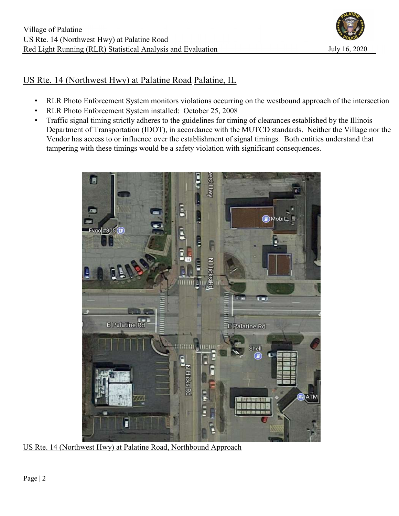

# US Rte. 14 (Northwest Hwy) at Palatine Road Palatine, IL

- RLR Photo Enforcement System monitors violations occurring on the westbound approach of the intersection
- RLR Photo Enforcement System installed: October 25, 2008
- Traffic signal timing strictly adheres to the guidelines for timing of clearances established by the Illinois Department of Transportation (IDOT), in accordance with the MUTCD standards. Neither the Village nor the Vendor has access to or influence over the establishment of signal timings. Both entities understand that tampering with these timings would be a safety violation with significant consequences.



US Rte. 14 (Northwest Hwy) at Palatine Road, Northbound Approach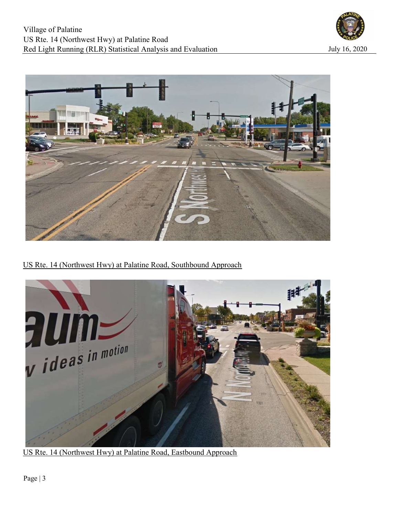



US Rte. 14 (Northwest Hwy) at Palatine Road, Southbound Approach



US Rte. 14 (Northwest Hwy) at Palatine Road, Eastbound Approach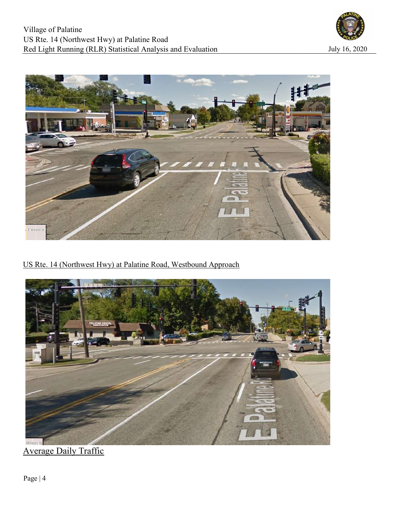



US Rte. 14 (Northwest Hwy) at Palatine Road, Westbound Approach



Average Daily Traffic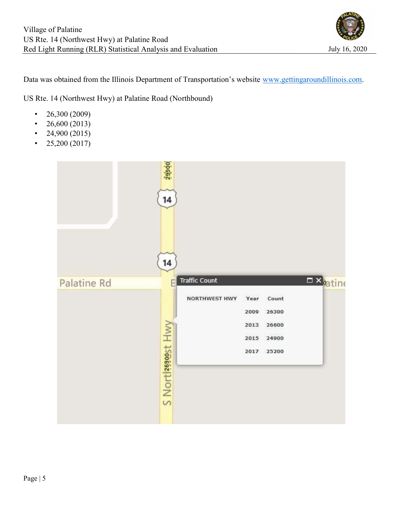

Data was obtained from the Illinois Department of Transportation's website www.gettingaroundillinois.com.

US Rte. 14 (Northwest Hwy) at Palatine Road (Northbound)

- $26,300 (2009)$
- 26,600 (2013)
- 24,900 (2015)
- $25,200 (2017)$

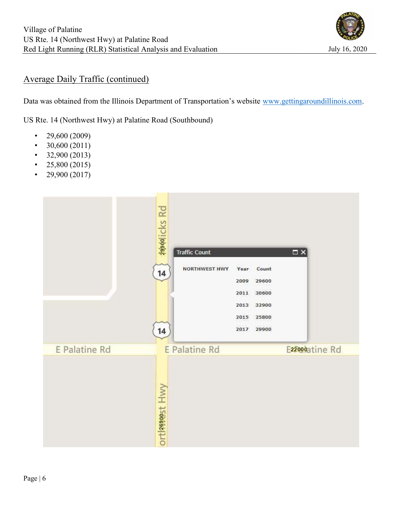

## Average Daily Traffic (continued)

Data was obtained from the Illinois Department of Transportation's website www.gettingaroundillinois.com.

US Rte. 14 (Northwest Hwy) at Palatine Road (Southbound)

- 29,600 (2009)
- $30,600(2011)$
- $\cdot$  32,900 (2013)
- 25,800 (2015)
- 29,900 (2017)

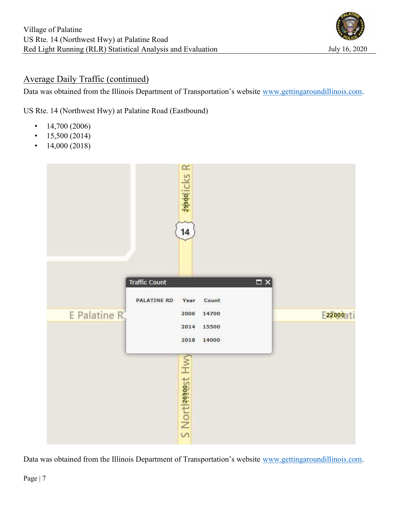

## Average Daily Traffic (continued)

Data was obtained from the Illinois Department of Transportation's website www.gettingaroundillinois.com.

US Rte. 14 (Northwest Hwy) at Palatine Road (Eastbound)

- $\cdot$  14,700 (2006)
- $15,500 (2014)$
- $14,000(2018)$



Data was obtained from the Illinois Department of Transportation's website www.gettingaroundillinois.com.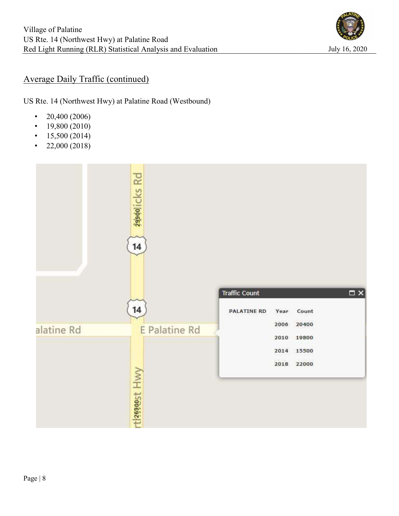

## Average Daily Traffic (continued)

US Rte. 14 (Northwest Hwy) at Palatine Road (Westbound)

- $20,400 (2006)$
- $19,800(2010)$
- $15,500 (2014)$
- 22,000 (2018)

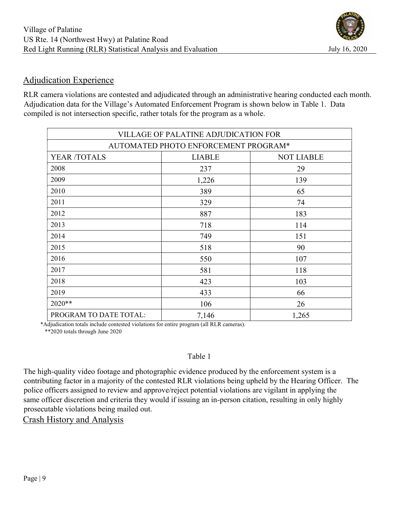# Adjudication Experience

RLR camera violations are contested and adjudicated through an administrative hearing conducted each month. Adjudication data for the Village's Automated Enforcement Program is shown below in Table 1. Data compiled is not intersection specific, rather totals for the program as a whole.

|                                      | VILLAGE OF PALATINE ADJUDICATION FOR |                   |  |  |  |  |  |  |  |
|--------------------------------------|--------------------------------------|-------------------|--|--|--|--|--|--|--|
| AUTOMATED PHOTO ENFORCEMENT PROGRAM* |                                      |                   |  |  |  |  |  |  |  |
| YEAR /TOTALS                         | <b>LIABLE</b>                        | <b>NOT LIABLE</b> |  |  |  |  |  |  |  |
| 2008                                 | 237                                  | 29                |  |  |  |  |  |  |  |
| 2009                                 | 1,226                                | 139               |  |  |  |  |  |  |  |
| 2010                                 | 389                                  | 65                |  |  |  |  |  |  |  |
| 2011                                 | 329                                  | 74                |  |  |  |  |  |  |  |
| 2012                                 | 887                                  | 183               |  |  |  |  |  |  |  |
| 2013                                 | 718                                  | 114               |  |  |  |  |  |  |  |
| 2014                                 | 749                                  | 151               |  |  |  |  |  |  |  |
| 2015                                 | 518                                  | 90                |  |  |  |  |  |  |  |
| 2016                                 | 550                                  | 107               |  |  |  |  |  |  |  |
| 2017                                 | 581                                  | 118               |  |  |  |  |  |  |  |
| 2018                                 | 423                                  | 103               |  |  |  |  |  |  |  |
| 2019                                 | 433                                  | 66                |  |  |  |  |  |  |  |
| 2020**                               | 106                                  | 26                |  |  |  |  |  |  |  |
| PROGRAM TO DATE TOTAL:               | 7,146                                | 1,265             |  |  |  |  |  |  |  |

 \*Adjudication totals include contested violations for entire program (all RLR cameras). \*\*2020 totals through June 2020

## Table 1

The high-quality video footage and photographic evidence produced by the enforcement system is a contributing factor in a majority of the contested RLR violations being upheld by the Hearing Officer. The police officers assigned to review and approve/reject potential violations are vigilant in applying the same officer discretion and criteria they would if issuing an in-person citation, resulting in only highly prosecutable violations being mailed out.

Crash History and Analysis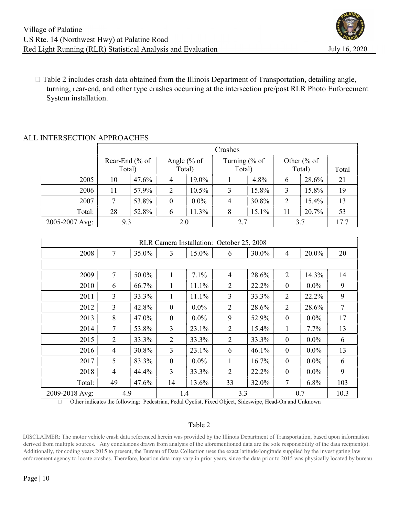

 $\Box$  Table 2 includes crash data obtained from the Illinois Department of Transportation, detailing angle, turning, rear-end, and other type crashes occurring at the intersection pre/post RLR Photo Enforcement System installation.

### ALL INTERSECTION APPROACHES

|                | Crashes        |       |                        |         |                          |       |                        |       |       |  |
|----------------|----------------|-------|------------------------|---------|--------------------------|-------|------------------------|-------|-------|--|
|                | Rear-End (% of |       | Angle $% of$<br>Total) |         | Turning $% of$<br>Total) |       | Other $% of$<br>Total) |       |       |  |
|                | Total)         |       |                        |         |                          |       |                        |       | Total |  |
| 2005           | 10             | 47.6% | 4                      | 19.0%   |                          | 4.8%  | 6                      | 28.6% | 21    |  |
| 2006           | 11             | 57.9% | 2                      | 10.5%   | 3                        | 15.8% | 3                      | 15.8% | 19    |  |
| 2007           |                | 53.8% | $\boldsymbol{0}$       | $0.0\%$ | 4                        | 30.8% | 2                      | 15.4% | 13    |  |
| Total:         | 28             | 52.8% | 6                      | $1.3\%$ | 8                        | 15.1% | 11                     | 20.7% | 53    |  |
| 2005-2007 Avg: | 9.3            |       | 2.0                    |         | 2.7                      |       | 3.7                    |       | 17.7  |  |

| RLR Camera Installation: October 25, 2008 |                |       |                  |         |                |       |                  |         |      |  |  |
|-------------------------------------------|----------------|-------|------------------|---------|----------------|-------|------------------|---------|------|--|--|
| 2008                                      | 7              | 35.0% | 3                | 15.0%   | 6              | 30.0% | 4                | 20.0%   | 20   |  |  |
|                                           |                |       |                  |         |                |       |                  |         |      |  |  |
| 2009                                      | 7              | 50.0% |                  | 7.1%    | $\overline{4}$ | 28.6% | 2                | 14.3%   | 14   |  |  |
| 2010                                      | 6              | 66.7% | 1                | 11.1%   | $\overline{2}$ | 22.2% | $\theta$         | $0.0\%$ | 9    |  |  |
| 2011                                      | 3              | 33.3% | 1                | 11.1%   | $\overline{3}$ | 33.3% | $\overline{2}$   | 22.2%   | 9    |  |  |
| 2012                                      | $\overline{3}$ | 42.8% | $\mathbf{0}$     | $0.0\%$ | $\overline{2}$ | 28.6% | 2                | 28.6%   | 7    |  |  |
| 2013                                      | 8              | 47.0% | $\boldsymbol{0}$ | $0.0\%$ | 9              | 52.9% | $\overline{0}$   | $0.0\%$ | 17   |  |  |
| 2014                                      | 7              | 53.8% | 3                | 23.1%   | $\overline{2}$ | 15.4% | 1                | $7.7\%$ | 13   |  |  |
| 2015                                      | $\overline{2}$ | 33.3% | $\overline{2}$   | 33.3%   | $\overline{2}$ | 33.3% | $\boldsymbol{0}$ | $0.0\%$ | 6    |  |  |
| 2016                                      | 4              | 30.8% | 3                | 23.1%   | 6              | 46.1% | $\theta$         | $0.0\%$ | 13   |  |  |
| 2017                                      | 5              | 83.3% | $\boldsymbol{0}$ | $0.0\%$ | 1              | 16.7% | $\overline{0}$   | $0.0\%$ | 6    |  |  |
| 2018                                      | $\overline{4}$ | 44.4% | 3                | 33.3%   | 2              | 22.2% | $\overline{0}$   | $0.0\%$ | 9    |  |  |
| Total:                                    | 49             | 47.6% | 14               | 13.6%   | 33             | 32.0% | 7                | 6.8%    | 103  |  |  |
| 2009-2018 Avg:                            | 4.9            |       | 1.4              |         | 3.3            |       | 0.7              |         | 10.3 |  |  |

Other indicates the following: Pedestrian, Pedal Cyclist, Fixed Object, Sideswipe, Head-On and Unknown

#### Table 2

DISCLAIMER: The motor vehicle crash data referenced herein was provided by the Illinois Department of Transportation, based upon information derived from multiple sources. Any conclusions drawn from analysis of the aforementioned data are the sole responsibility of the data recipient(s). Additionally, for coding years 2015 to present, the Bureau of Data Collection uses the exact latitude/longitude supplied by the investigating law enforcement agency to locate crashes. Therefore, location data may vary in prior years, since the data prior to 2015 was physically located by bureau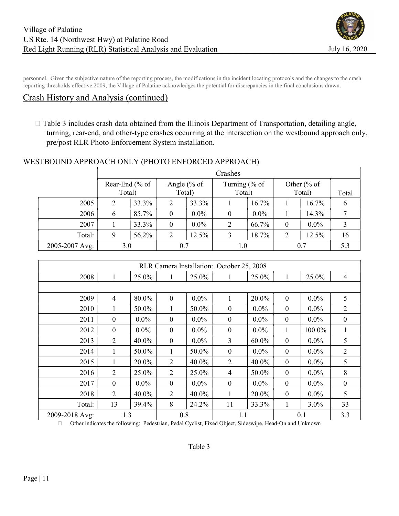

personnel. Given the subjective nature of the reporting process, the modifications in the incident locating protocols and the changes to the crash reporting thresholds effective 2009, the Village of Palatine acknowledges the potential for discrepancies in the final conclusions drawn.

## Crash History and Analysis (continued)

 $\Box$  Table 3 includes crash data obtained from the Illinois Department of Transportation, detailing angle, turning, rear-end, and other-type crashes occurring at the intersection on the westbound approach only, pre/post RLR Photo Enforcement System installation.

#### WESTBOUND APPROACH ONLY (PHOTO ENFORCED APPROACH)

|                | Crashes         |       |              |         |                |         |              |         |       |  |
|----------------|-----------------|-------|--------------|---------|----------------|---------|--------------|---------|-------|--|
|                | Rear-End $%$ of |       | Angle $% of$ |         | Turning $% of$ |         | Other $% of$ |         |       |  |
|                | Total)          |       | Total)       |         | Total)         |         | Total)       |         | Total |  |
| 2005           | $\overline{2}$  | 33.3% | 2            | 33.3%   |                | 16.7%   |              | 16.7%   | o     |  |
| 2006           | 6               | 85.7% | $\theta$     | $0.0\%$ | $\theta$       | $0.0\%$ |              | 14.3%   |       |  |
| 2007           |                 | 33.3% | $\theta$     | $0.0\%$ | 2              | 66.7%   | $\theta$     | $0.0\%$ |       |  |
| Total:         |                 | 56.2% | 2            | 12.5%   | 3              | 18.7%   | 2            | 12.5%   | 16    |  |
| 2005-2007 Avg: | 3.0             |       | 0.7          |         | 1.0            |         | 0.7          | 5.3     |       |  |

| RLR Camera Installation: October 25, 2008 |                  |         |              |         |                  |         |                  |         |                |  |  |
|-------------------------------------------|------------------|---------|--------------|---------|------------------|---------|------------------|---------|----------------|--|--|
| 2008                                      | 1                | 25.0%   |              | 25.0%   | 1                | 25.0%   | 1                | 25.0%   | $\overline{4}$ |  |  |
|                                           |                  |         |              |         |                  |         |                  |         |                |  |  |
| 2009                                      | $\overline{4}$   | 80.0%   | $\mathbf{0}$ | $0.0\%$ | 1                | 20.0%   | $\boldsymbol{0}$ | $0.0\%$ | 5              |  |  |
| 2010                                      | 1                | 50.0%   | 1            | 50.0%   | $\boldsymbol{0}$ | $0.0\%$ | $\boldsymbol{0}$ | $0.0\%$ | 2              |  |  |
| 2011                                      | $\boldsymbol{0}$ | $0.0\%$ | $\mathbf{0}$ | $0.0\%$ | $\boldsymbol{0}$ | $0.0\%$ | $\boldsymbol{0}$ | $0.0\%$ | $\mathbf{0}$   |  |  |
| 2012                                      | $\theta$         | $0.0\%$ | $\mathbf{0}$ | $0.0\%$ | $\boldsymbol{0}$ | $0.0\%$ | 1                | 100.0%  | 1              |  |  |
| 2013                                      | $\overline{2}$   | 40.0%   | $\mathbf{0}$ | $0.0\%$ | 3                | 60.0%   | $\boldsymbol{0}$ | $0.0\%$ | 5              |  |  |
| 2014                                      | 1                | 50.0%   | 1            | 50.0%   | $\mathbf{0}$     | $0.0\%$ | $\mathbf{0}$     | $0.0\%$ | 2              |  |  |
| 2015                                      | 1                | 20.0%   | 2            | 40.0%   | $\overline{2}$   | 40.0%   | $\boldsymbol{0}$ | $0.0\%$ | 5              |  |  |
| 2016                                      | $\overline{2}$   | 25.0%   | 2            | 25.0%   | $\overline{4}$   | 50.0%   | $\boldsymbol{0}$ | $0.0\%$ | 8              |  |  |
| 2017                                      | $\boldsymbol{0}$ | $0.0\%$ | $\mathbf{0}$ | $0.0\%$ | $\boldsymbol{0}$ | $0.0\%$ | $\boldsymbol{0}$ | $0.0\%$ | $\mathbf{0}$   |  |  |
| 2018                                      | 2                | 40.0%   | 2            | 40.0%   | 1                | 20.0%   | $\mathbf{0}$     | $0.0\%$ | 5              |  |  |
| Total:                                    | 13               | 39.4%   | 8            | 24.2%   | 11               | 33.3%   | 1                | $3.0\%$ | 33             |  |  |
| 2009-2018 Avg:                            | 1.3              |         | 0.8          |         | 1.1              |         | 0.1              | 3.3     |                |  |  |

Other indicates the following: Pedestrian, Pedal Cyclist, Fixed Object, Sideswipe, Head-On and Unknown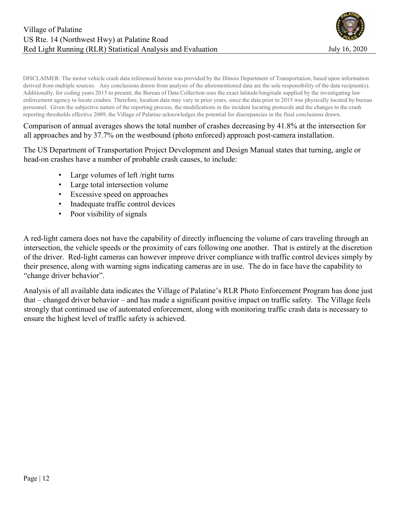

DISCLAIMER: The motor vehicle crash data referenced herein was provided by the Illinois Department of Transportation, based upon information derived from multiple sources. Any conclusions drawn from analysis of the aforementioned data are the sole responsibility of the data recipient(s). Additionally, for coding years 2015 to present, the Bureau of Data Collection uses the exact latitude/longitude supplied by the investigating law enforcement agency to locate crashes. Therefore, location data may vary in prior years, since the data prior to 2015 was physically located by bureau personnel. Given the subjective nature of the reporting process, the modifications in the incident locating protocols and the changes to the crash reporting thresholds effective 2009, the Village of Palatine acknowledges the potential for discrepancies in the final conclusions drawn.

Comparison of annual averages shows the total number of crashes decreasing by 41.8% at the intersection for all approaches and by 37.7% on the westbound (photo enforced) approach post-camera installation.

The US Department of Transportation Project Development and Design Manual states that turning, angle or head-on crashes have a number of probable crash causes, to include:

- Large volumes of left /right turns
- Large total intersection volume
- Excessive speed on approaches
- Inadequate traffic control devices
- Poor visibility of signals

A red-light camera does not have the capability of directly influencing the volume of cars traveling through an intersection, the vehicle speeds or the proximity of cars following one another. That is entirely at the discretion of the driver. Red-light cameras can however improve driver compliance with traffic control devices simply by their presence, along with warning signs indicating cameras are in use. The do in face have the capability to "change driver behavior".

Analysis of all available data indicates the Village of Palatine's RLR Photo Enforcement Program has done just that – changed driver behavior – and has made a significant positive impact on traffic safety. The Village feels strongly that continued use of automated enforcement, along with monitoring traffic crash data is necessary to ensure the highest level of traffic safety is achieved.